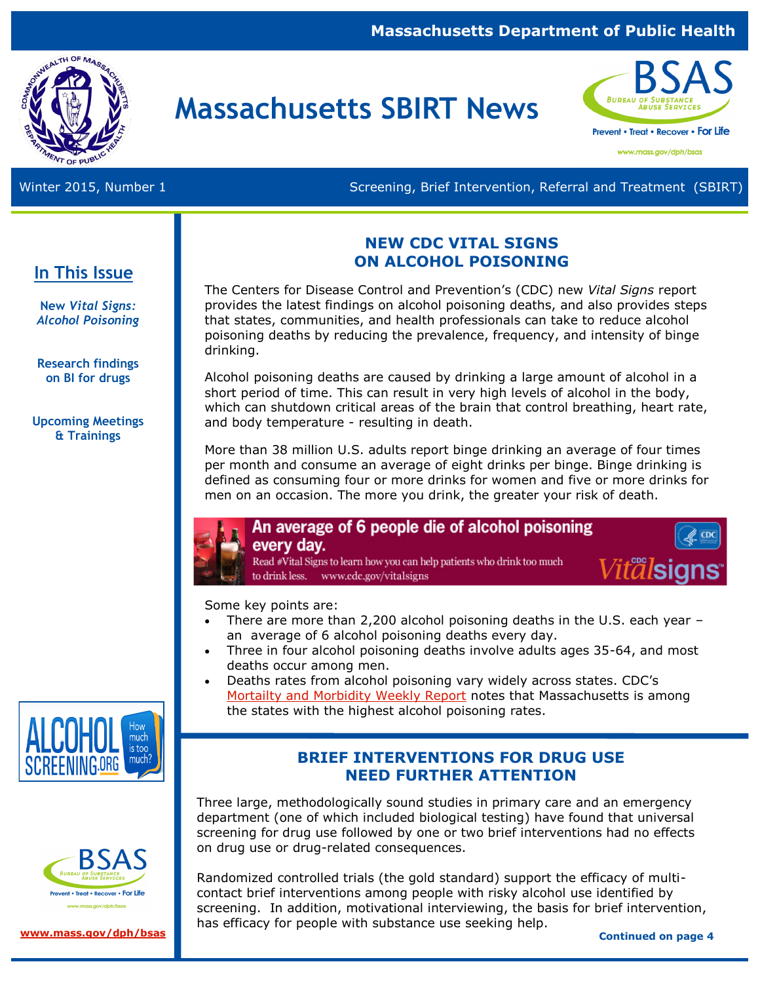#### **Massachusetts Department of Public Health**



# **Massachusetts SBIRT News**



www.mass.gov/dph/bsas

Winter 2015, Number 1 Screening, Brief Intervention, Referral and Treatment (SBIRT)

## **In This Issue**

**New** *Vital Signs: Alcohol Poisoning*

**Research findings on BI for drugs** 

**Upcoming Meetings & Trainings**

## **NEW CDC VITAL SIGNS ON ALCOHOL POISONING**

The Centers for Disease Control and Prevention's (CDC) new *Vital Signs* report provides the latest findings on alcohol poisoning deaths, and also provides steps that states, communities, and health professionals can take to reduce alcohol poisoning deaths by reducing the prevalence, frequency, and intensity of binge drinking.

Alcohol poisoning deaths are caused by drinking a large amount of alcohol in a short period of time. This can result in very high levels of alcohol in the body, which can shutdown critical areas of the brain that control breathing, heart rate, and body temperature - resulting in death.

More than 38 million U.S. adults report binge drinking an average of four times per month and consume an average of eight drinks per binge. Binge drinking is defined as consuming four or more drinks for women and five or more drinks for men on an occasion. The more you drink, the greater your risk of death.



An average of 6 people die of alcohol poisoning every day.

Read #Vital Signs to learn how you can help patients who drink too much to drink less. www.cdc.gov/vitalsigns



Some key points are:

- There are more than 2,200 alcohol poisoning deaths in the U.S. each year an average of 6 alcohol poisoning deaths every day.
- Three in four alcohol poisoning deaths involve adults ages 35-64, and most deaths occur among men.
- Deaths rates from alcohol poisoning vary widely across states. CDC's [Mortailty and Morbidity Weekly Report](http://www.cdc.gov/mmwr/preview/mmwrhtml/mm63e0106a1.htm?s_cid=mm63e0106a1_e) notes that Massachusetts is among the states with the highest alcohol poisoning rates.





Three large, methodologically sound studies in primary care and an emergency department (one of which included biological testing) have found that universal screening for drug use followed by one or two brief interventions had no effects on drug use or drug-related consequences.

Randomized controlled trials (the gold standard) support the efficacy of multicontact brief interventions among people with risky alcohol use identified by screening. In addition, motivational interviewing, the basis for brief intervention, has efficacy for people with substance use seeking help.





**[www.mass.gov/dph/bsas](http://www.mass.gov/dph/bsas)**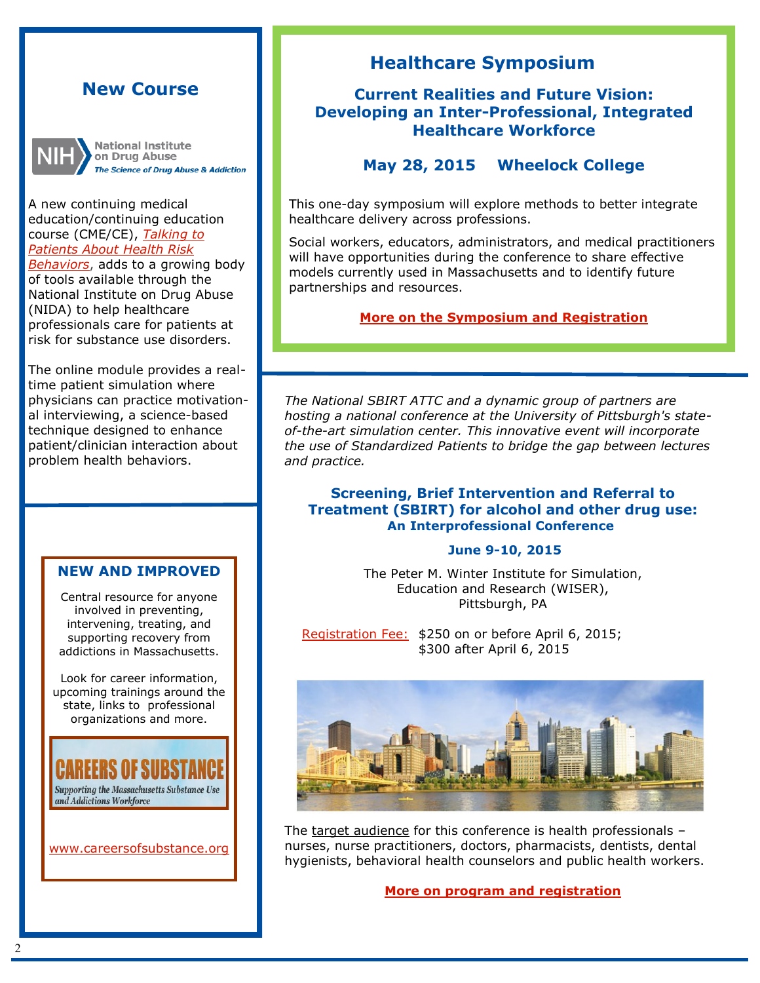## **New Course**



**National Institute** on Drug Abuse The Science of Drug Abuse & Addiction

A new continuing medical education/continuing education course (CME/CE), *[Talking to](http://www.drugabuse.gov/blending-initiative/cme-ce-simulation)  [Patients About Health Risk](http://www.drugabuse.gov/blending-initiative/cme-ce-simulation)* 

*[Behaviors](http://www.drugabuse.gov/blending-initiative/cme-ce-simulation)*, adds to a growing body of tools available through the National Institute on Drug Abuse (NIDA) to help healthcare professionals care for patients at risk for substance use disorders.

The online module provides a realtime patient simulation where physicians can practice motivational interviewing, a science-based technique designed to enhance patient/clinician interaction about problem health behaviors.

#### **NEW AND IMPROVED**

Central resource for anyone involved in preventing, intervening, treating, and supporting recovery from addictions in Massachusetts.

Look for career information, upcoming trainings around the state, links to professional organizations and more.



[www.careersofsubstance.org](http://www.careersofsubstance.org/)

## **Healthcare Symposium**

## **Current Realities and Future Vision: Developing an Inter-Professional, Integrated Healthcare Workforce**

### **May 28, 2015 Wheelock College**

This one-day symposium will explore methods to better integrate healthcare delivery across professions.

Social workers, educators, administrators, and medical practitioners will have opportunities during the conference to share effective models currently used in Massachusetts and to identify future partnerships and resources.

#### **[More on the Symposium and Registration](http://www.wheelock.edu/academics/graduate/social-work/healthcare-symposium)**

*The National SBIRT ATTC and a dynamic group of partners are hosting a national conference at the University of Pittsburgh's stateof-the-art simulation center. This innovative event will incorporate the use of Standardized Patients to bridge the gap between lectures and practice.* 

#### **Screening, Brief Intervention and Referral to Treatment (SBIRT) for alcohol and other drug use: An Interprofessional Conference**

#### **June 9-10, 2015**

The Peter M. Winter Institute for Simulation, Education and Research (WISER), Pittsburgh, PA

[Registration Fee:](http://ireta.org/sbirtatwiser?utm_source=iContact&utm_medium=email&utm_campaign=IRETA&utm_content=#overview) \$250 on or before April 6, 2015; \$300 after April 6, 2015



The target audience for this conference is health professionals – nurses, nurse practitioners, doctors, pharmacists, dentists, dental hygienists, behavioral health counselors and public health workers.

**[More on program and registration](http://ireta.org/sbirtatwiser?utm_source=iContact&utm_medium=email&utm_campaign=IRETA&utm_content=#overview)**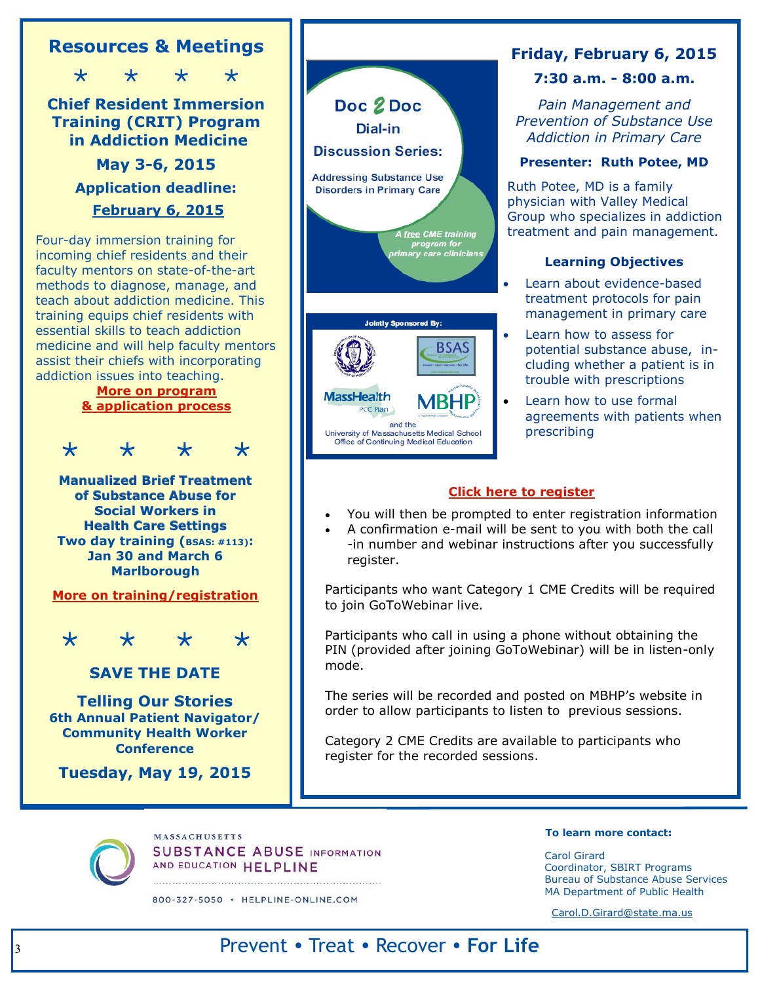## **Resources & Meetings**

\* \* \* \*

**Chief Resident Immersion Training (CRIT) Program in Addiction Medicine May 3-6, 2015 Application deadline: February 6, 2015**

Four-day immersion training for incoming chief residents and their faculty mentors on state-of-the-art methods to diagnose, manage, and teach about addiction medicine. This training equips chief residents with essential skills to teach addiction medicine and will help faculty mentors assist their chiefs with incorporating addiction issues into teaching.

**[More on program](http://www.bumc.bu.edu/care/education-and-training-programs/crit/)  [& application process](http://www.bumc.bu.edu/care/education-and-training-programs/crit/)** 



**Manualized Brief Treatment of Substance Abuse for Social Workers in Health Care Settings Two day training (BSAS: #113): Jan 30 and March 6 Marlborough**

**[More on training/registration](http://www.cvent.com/d/trqnz7)**



#### **SAVE THE DATE**

**Telling Our Stories 6th Annual Patient Navigator/ Community Health Worker Conference**

**Tuesday, May 19, 2015**



and the University of Massachusetts Medical School Office of Continuing Medical Education

## **Friday, February 6, 2015**

**7:30 a.m. - 8:00 a.m.** 

*Pain Management and Prevention of Substance Use Addiction in Primary Care*

#### **Presenter: Ruth Potee, MD**

Ruth Potee, MD is a family physician with Valley Medical Group who specializes in addiction treatment and pain management.

#### **Learning Objectives**

- Learn about evidence-based treatment protocols for pain management in primary care
	- Learn how to assess for potential substance abuse, including whether a patient is in trouble with prescriptions
- Learn how to use formal agreements with patients when prescribing

#### **[Click here to register](https://attendee.gotowebinar.com/register/2102462309062446338)**

- You will then be prompted to enter registration information
- A confirmation e-mail will be sent to you with both the call -in number and webinar instructions after you successfully register.

Participants who want Category 1 CME Credits will be required to join GoToWebinar live.

Participants who call in using a phone without obtaining the PIN (provided after joining GoToWebinar) will be in listen-only mode.

The series will be recorded and posted on MBHP's website in order to allow participants to listen to previous sessions.

Category 2 CME Credits are available to participants who register for the recorded sessions.



**MASSACHUSETTS SUBSTANCE ABUSE INFORMATION** AND EDUCATION HELPLINE

800-327-5050 · HELPLINE-ONLINE.COM

#### **To learn more contact:**

Carol Girard Coordinator, SBIRT Programs Bureau of Substance Abuse Services MA Department of Public Health

[Carol.D.Girard@state.ma.us](mailto:Carol.D.Girard@state.ma.us) 

## Prevent • Treat • Recover • **For Life**